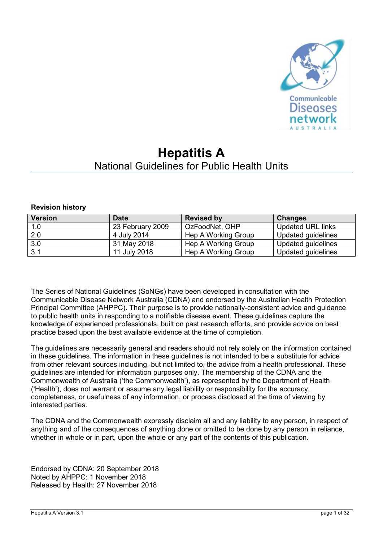

# **Hepatitis A** National Guidelines for Public Health Units

#### **Revision history**

| <b>Version</b> | <b>Date</b>      | <b>Revised by</b>   | <b>Changes</b>           |
|----------------|------------------|---------------------|--------------------------|
| 1.0            | 23 February 2009 | OzFoodNet, OHP      | <b>Updated URL links</b> |
| 2.0            | 4 July 2014      | Hep A Working Group | Updated guidelines       |
| 3.0            | 31 May 2018      | Hep A Working Group | Updated guidelines       |
| 3.1            | 11 July 2018     | Hep A Working Group | Updated guidelines       |

The Series of National Guidelines (SoNGs) have been developed in consultation with the Communicable Disease Network Australia (CDNA) and endorsed by the Australian Health Protection Principal Committee (AHPPC). Their purpose is to provide nationally-consistent advice and guidance to public health units in responding to a notifiable disease event. These guidelines capture the knowledge of experienced professionals, built on past research efforts, and provide advice on best practice based upon the best available evidence at the time of completion.

The guidelines are necessarily general and readers should not rely solely on the information contained in these guidelines. The information in these guidelines is not intended to be a substitute for advice from other relevant sources including, but not limited to, the advice from a health professional. These guidelines are intended for information purposes only. The membership of the CDNA and the Commonwealth of Australia ('the Commonwealth'), as represented by the Department of Health ('Health'), does not warrant or assume any legal liability or responsibility for the accuracy, completeness, or usefulness of any information, or process disclosed at the time of viewing by interested parties.

The CDNA and the Commonwealth expressly disclaim all and any liability to any person, in respect of anything and of the consequences of anything done or omitted to be done by any person in reliance, whether in whole or in part, upon the whole or any part of the contents of this publication.

Endorsed by CDNA: 20 September 2018 Noted by AHPPC: 1 November 2018 Released by Health: 27 November 2018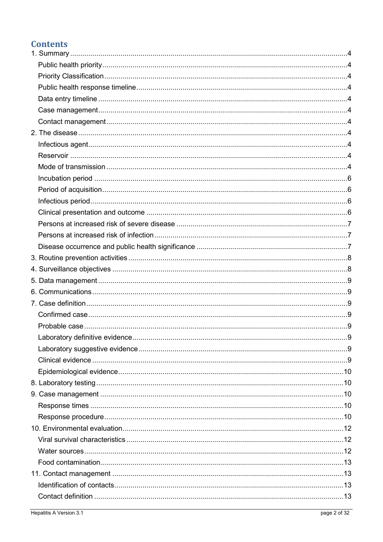## **Contents**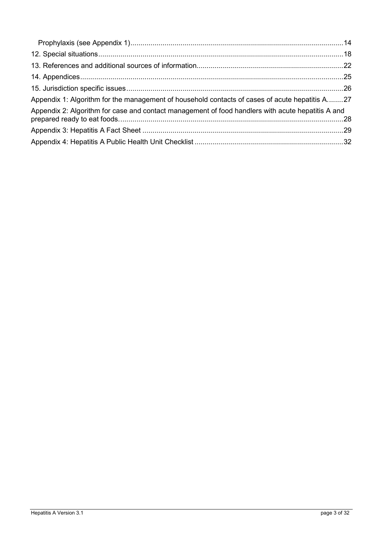| Appendix 1: Algorithm for the management of household contacts of cases of acute hepatitis A27    |  |
|---------------------------------------------------------------------------------------------------|--|
| Appendix 2: Algorithm for case and contact management of food handlers with acute hepatitis A and |  |
|                                                                                                   |  |
|                                                                                                   |  |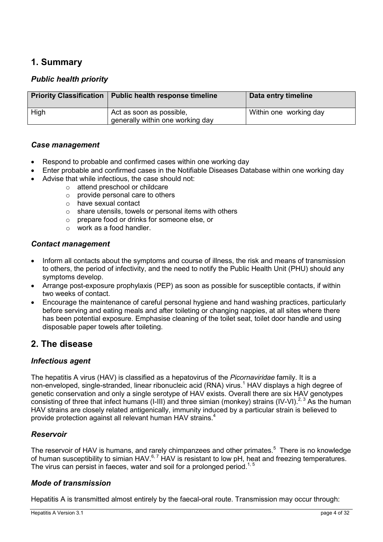## <span id="page-3-0"></span>**1. Summary**

#### <span id="page-3-4"></span><span id="page-3-3"></span><span id="page-3-1"></span>*Public health priority*

<span id="page-3-2"></span>

| <b>Priority Classification</b> | Public health response timeline                              | Data entry timeline    |
|--------------------------------|--------------------------------------------------------------|------------------------|
| High                           | Act as soon as possible,<br>generally within one working day | Within one working day |

#### <span id="page-3-5"></span>*Case management*

- Respond to probable and confirmed cases within one working day
- Enter probable and confirmed cases in the Notifiable Diseases Database within one working day
- Advise that while infectious, the case should not:
	- o attend preschool or childcare
		- $\circ$  provide personal care to others
		- o have sexual contact
		- o share utensils, towels or personal items with others
		- o prepare food or drinks for someone else, or
		- o work as a food handler.

#### <span id="page-3-6"></span>*Contact management*

- Inform all contacts about the symptoms and course of illness, the risk and means of transmission to others, the period of infectivity, and the need to notify the Public Health Unit (PHU) should any symptoms develop.
- Arrange post-exposure prophylaxis (PEP) as soon as possible for susceptible contacts, if within two weeks of contact.
- Encourage the maintenance of careful personal hygiene and hand washing practices, particularly before serving and eating meals and after toileting or changing nappies, at all sites where there has been potential exposure. Emphasise cleaning of the toilet seat, toilet door handle and using disposable paper towels after toileting.

### <span id="page-3-7"></span>**2. The disease**

#### <span id="page-3-8"></span>*Infectious agent*

The hepatitis A virus (HAV) is classified as a hepatovirus of the *Picornaviridae* family. It is a non-enveloped, single-stranded, linear ribonucleic acid (RNA) virus.<sup>[1](#page-21-1)</sup> HAV displays a high degree of genetic conservation and only a single serotype of HAV exists. Overall there are six HAV genotypes consisting of three that infect humans (I-III) and three simian (monkey) strains (IV-VI).<sup>[2,](#page-21-2) [3](#page-21-3)</sup> As the human HAV strains are closely related antigenically, immunity induced by a particular strain is believed to provide protection against all relevant human HAV strains[.](#page-21-4)<sup>4</sup>

#### <span id="page-3-9"></span>*Reservoir*

The reservoir of HAV is humans, and rarely chimpanzees and other primates.<sup>[5](#page-21-5)</sup> There is no knowledge of human susceptibility to simian HAV.<sup>[6,](#page-21-6) [7](#page-21-7)</sup> HAV is resistant to low pH, heat and freezing temperatures. The virus can persist in faeces, water and soil for a prolonged period.<sup>[1,](#page-21-1) [5](#page-21-5)</sup>

#### <span id="page-3-10"></span>*Mode of transmission*

Hepatitis A is transmitted almost entirely by the faecal-oral route. Transmission may occur through: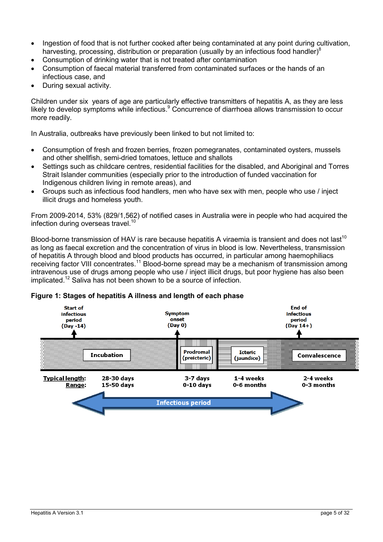- Ingestion of food that is not further cooked after being contaminated at any point during cultivation, harvesting, processing, distribution or preparation (usually by an infectious food handler[\)](#page-21-8)<sup>8</sup>
- Consumption of drinking water that is not treated after contamination
- Consumption of faecal material transferred from contaminated surfaces or the hands of an infectious case, and
- During sexual activity.

Children under six years of age are particularly effective transmitters of hepatitis A, as they are less likely to develop symptoms while infectious[.](#page-21-9)<sup>9</sup> Concurrence of diarrhoea allows transmission to occur more readily.

In Australia, outbreaks have previously been linked to but not limited to:

- Consumption of fresh and frozen berries, frozen pomegranates, contaminated oysters, mussels and other shellfish, semi-dried tomatoes, lettuce and shallots
- Settings such as childcare centres, residential facilities for the disabled, and Aboriginal and Torres Strait Islander communities (especially prior to the introduction of funded vaccination for Indigenous children living in remote areas), and
- Groups such as infectious food handlers, men who have sex with men, people who use / inject illicit drugs and homeless youth.

From 2009-2014, 53% (829/1,562) of notified cases in Australia were in people who had acquired the infection during overseas travel.<sup>[10](#page-22-0)</sup>

Blood-borne transmission of HAV is rare because hepatitis A viraemia is transient and does not last<sup>10</sup> as long as faecal excretion and the concentration of virus in blood is low. Nevertheless, transmission of hepatitis A through blood and blood products has occurred, in particular among haemophiliacs receiving factor VIII concentrates.<sup>[11](#page-22-1)</sup> Blood-borne spread may be a mechanism of transmission among intravenous use of drugs among people who use / inject illicit drugs, but poor hygiene has also been implicated.<sup>[12](#page-22-2)</sup> Saliva has not been shown to be a source of infection.

<span id="page-4-0"></span>

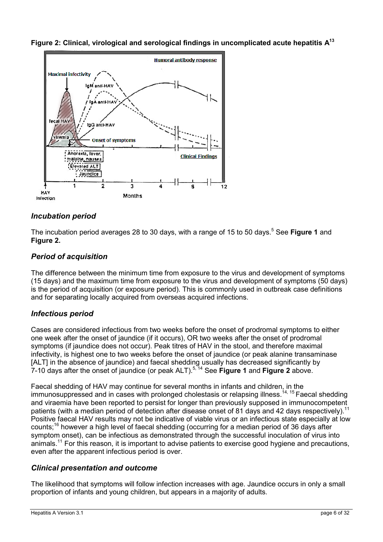<span id="page-5-4"></span>**Figure 2: Clinical, virological and serological findings in uncomplicated acute hepatitis [A13](#page-22-3)**



### <span id="page-5-0"></span>*Incubation period*

The incubation period averages 28 to 30 days, with a range of 15 to 50 days.[5](#page-21-5) See **[Figure 1](#page-4-0)** and **[Figure 2.](#page-5-4)**

### <span id="page-5-1"></span>*Period of acquisition*

The difference between the minimum time from exposure to the virus and development of symptoms (15 days) and the maximum time from exposure to the virus and development of symptoms (50 days) is the period of acquisition (or exposure period). This is commonly used in outbreak case definitions and for separating locally acquired from overseas acquired infections.

#### <span id="page-5-2"></span>*Infectious period*

Cases are considered infectious from two weeks before the onset of prodromal symptoms to either one week after the onset of jaundice (if it occurs), OR two weeks after the onset of prodromal symptoms (if jaundice does not occur). Peak titres of HAV in the stool, and therefore maximal infectivity, is highest one to two weeks before the onset of jaundice (or peak alanine transaminase [ALT] in the absence of jaundice) and faecal shedding usually has decreased significantly by 7-10 days after the onset of jaundice (or peak ALT). [5,](#page-21-5) [14](#page-22-4) See **[Figure 1](#page-4-0)** and **[Figure 2](#page-5-4)** above.

Faecal shedding of HAV may continue for several months in infants and children, in the immunosuppressed and in cases with prolonged cholestasis or relapsing illness.[14,](#page-22-4) [15](#page-22-5) Faecal shedding and viraemia have been reported to persist for longer than previously supposed in immunocompetent patients (with a median period of detection after disease onset of 81 days and 42 days respectively).<sup>[11](#page-22-1)</sup> Positive faecal HAV results may not be indicative of viable virus or an infectious state especially at low counts;<sup>[16](#page-22-6)</sup> however a high level of faecal shedding (occurring for a median period of 36 days after symptom onset), can be infectious as demonstrated through the successful inoculation of virus into animals.<sup>[11](#page-22-1)</sup> For this reason, it is important to advise patients to exercise good hygiene and precautions, even after the apparent infectious period is over.

#### <span id="page-5-3"></span>*Clinical presentation and outcome*

The likelihood that symptoms will follow infection increases with age. Jaundice occurs in only a small proportion of infants and young children, but appears in a majority of adults.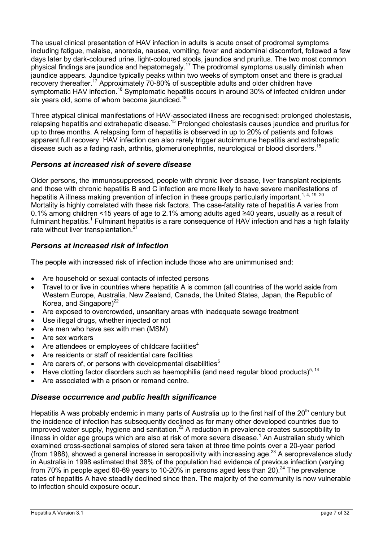The usual clinical presentation of HAV infection in adults is acute onset of prodromal symptoms including fatigue, malaise, anorexia, nausea, vomiting, fever and abdominal discomfort, followed a few days later by dark-coloured urine, light-coloured stools, jaundice and pruritus. The two most common physical findings are jaundice and hepatomegaly.<sup>[17](#page-22-7)</sup> The prodromal symptoms usually diminish when jaundice appears. Jaundice typically peaks within two weeks of symptom onset and there is gradual recovery thereafter.[17](#page-22-7) Approximately 70-80% of susceptible adults and older children have symptomatic HAV infection.<sup>[18](#page-22-8)</sup> Symptomatic hepatitis occurs in around 30% of infected children under six years old, some of whom become jaundiced.<sup>[18](#page-22-8)</sup>

Three atypical clinical manifestations of HAV-associated illness are recognised: prolonged cholestasis, relapsing hepatitis and extrahepatic disease.[15](#page-22-5) Prolonged cholestasis causes jaundice and pruritus for up to three months. A relapsing form of hepatitis is observed in up to 20% of patients and follows apparent full recovery. HAV infection can also rarely trigger autoimmune hepatitis and extrahepatic disease such as a fading rash, arthritis, glomerulonephritis, neurological or blood disorders.<sup>[15](#page-22-5)</sup>

#### <span id="page-6-0"></span>*Persons at increased risk of severe disease*

Older persons, the immunosuppressed, people with chronic liver disease, liver transplant recipients and those with chronic hepatitis B and C infection are more likely to have severe manifestations of hepatitis A illness making prevention of infection in these groups particularly important.<sup>[1,](#page-21-1) [4,](#page-21-4) [19,](#page-22-9) [20](#page-22-10)</sup> Mortality is highly correlated with these risk factors. The case-fatality rate of hepatitis A varies from 0.1% among children <15 years of age to 2.1% among adults aged ≥40 years, usually as a result of fulminant hepatitis.<sup>[1](#page-21-1)</sup> Fulminant hepatitis is a rare consequence of HAV infection and has a high fatality rate without liver transplantation.<sup>2</sup>

#### <span id="page-6-1"></span>*Persons at increased risk of infection*

The people with increased risk of infection include those who are unimmunised and:

- Are household or sexual contacts of infected persons
- Travel to or live in countries where hepatitis A is common (all countries of the world aside from Western Europe, Australia, New Zealand, Canada, the United States, Japan, the Republic of Korea, and Singapore) $^{22}$  $^{22}$  $^{22}$
- Are exposed to overcrowded, unsanitary areas with inadequate sewage treatment
- Use illegal drugs, whether injected or not
- Are men who have sex with men (MSM)
- Are sex workers
- Are attendees or employees of childcare facilities<sup>4</sup>
- Are residents or staff of residential care facilities
- Are carers of, or persons with developmental disabilities<sup>[5](#page-21-5)</sup>
- Have clotting factor disorders such as haemophilia (and need regular blood products)<sup>[5,](#page-21-5) 14</sup>
- Are associated with a prison or remand centre.

#### <span id="page-6-2"></span>*Disease occurrence and public health significance*

Hepatitis A was probably endemic in many parts of Australia up to the first half of the 20<sup>th</sup> century but the incidence of infection has subsequently declined as for many other developed countries due to improved water supply, hygiene and sanitation.<sup>[22](#page-22-12)</sup> A reduction in prevalence creates susceptibility to illness in older age groups which are also at risk of more severe disease.<sup>[1](#page-21-1)</sup> An Australian study which examined cross-sectional samples of stored sera taken at three time points over a 20-year period (from 1988), showed a general increase in seropositivity with increasing age.<sup>[23](#page-22-13)</sup> A seroprevalence study in Australia in 1998 estimated that 38% of the population had evidence of previous infection (varying from 70% in people aged 60-69 years to 10-20% in persons aged less than 20).<sup>[24](#page-23-0)</sup> The prevalence rates of hepatitis A have steadily declined since then. The majority of the community is now vulnerable to infection should exposure occur.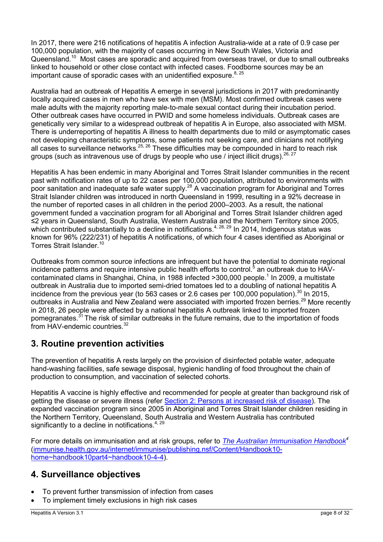In 2017, there were 216 notifications of hepatitis A infection Australia-wide at a rate of 0.9 case per 100,000 population, with the majority of cases occurring in New South Wales, Victoria and Queensland.<sup>[10](#page-22-0)</sup> Most cases are sporadic and acquired from overseas travel, or due to small outbreaks linked to household or other close contact with infected cases. Foodborne sources may be an important cause of sporadic cases with an unidentified exposure.<sup>[8,](#page-21-8) [25](#page-23-1)</sup>

Australia had an outbreak of Hepatitis A emerge in several jurisdictions in 2017 with predominantly locally acquired cases in men who have sex with men (MSM). Most confirmed outbreak cases were male adults with the majority reporting male-to-male sexual contact during their incubation period. Other outbreak cases have occurred in PWID and some homeless individuals. Outbreak cases are genetically very similar to a widespread outbreak of hepatitis A in Europe, also associated with MSM. There is underreporting of hepatitis A illness to health departments due to mild or asymptomatic cases not developing characteristic symptoms, some patients not seeking care, and clinicians not notifying all cases to surveillance networks.<sup>[25,](#page-23-1) [26](#page-23-2)</sup> These difficulties may be compounded in hard to reach risk groups (such as intravenous use of drugs by people who use / inject illicit drugs).  $^{26, 27}$  $^{26, 27}$  $^{26, 27}$  $^{26, 27}$ 

Hepatitis A has been endemic in many Aboriginal and Torres Strait Islander communities in the recent past with notification rates of up to 22 cases per 100,000 population, attributed to environments with poor sanitation and inadequate safe water supply.[28](#page-23-4) A vaccination program for Aboriginal and Torres Strait Islander children was introduced in north Queensland in 1999, resulting in a 92% decrease in the number of reported cases in all children in the period 2000–2003. As a result, the national government funded a vaccination program for all Aboriginal and Torres Strait Islander children aged ≤2 years in Queensland, South Australia, Western Australia and the Northern Territory since 2005, which contributed substantially to a decline in notifications.<sup>[4,](#page-21-4) [28,](#page-23-4) [29](#page-23-5)</sup> In 2014, Indigenous status was known for 96% (222/231) of hepatitis A notifications, of which four 4 cases identified as Aboriginal or Torres Strait Islander.<sup>[10](#page-22-0)</sup>

Outbreaks from common source infections are infrequent but have the potential to dominate regional incidence patterns and require intensive public health efforts to control[.](#page-21-5)<sup>5</sup> an outbreak due to HAV-contaminated clams in Shanghai, China, in [1](#page-21-1)988 infected >300,000 people.<sup>1</sup> In 2009, a multistate outbreak in Australia due to imported semi-dried tomatoes led to a doubling of national hepatitis A incidence from the previous year (to 563 cases or 2.6 cases per 100,000 population).<sup>[30](#page-23-6)</sup> In 2015, outbreaks in Australia and New Zealand were associated with imported frozen berries.<sup>[29](#page-23-5)</sup> More recently in 2018, 26 people were affected by a national hepatitis A outbreak linked to imported frozen pomegranates.[31](#page-23-7) The risk of similar outbreaks in the future remains, due to the importation of foods from HAV-endemic countries.<sup>[32](#page-23-8)</sup>

### <span id="page-7-0"></span>**3. Routine prevention activities**

The prevention of hepatitis A rests largely on the provision of disinfected potable water, adequate hand-washing facilities, safe sewage disposal, hygienic handling of food throughout the chain of production to consumption, and vaccination of selected cohorts.

Hepatitis A vaccine is highly effective and recommended for people at greater than background risk of getting the disease or severe illness (refer [Section 2: Persons at increased risk of disease\)](#page-3-7). The expanded vaccination program since 2005 in Aboriginal and Torres Strait Islander children residing in the Northern Territory, Queensland, South Australia and Western Australia has contributed significantly to a decline in notifications.<sup>[4,](#page-21-4) [29](#page-23-5)</sup>

For more details on immunisation and at risk groups, refer to *[The Australian Immunisation Handbook](http://www.immunise.health.gov.au/internet/immunise/publishing.nsf/Content/Handbook10-home%7Ehandbook10part4%7Ehandbook10-4-4)[4](http://www.immunise.health.gov.au/internet/immunise/publishing.nsf/Content/Handbook10-home%7Ehandbook10part4%7Ehandbook10-4-4)* [\(immunise.health.gov.au/internet/immunise/publishing.nsf/Content/Handbook10](http://www.immunise.health.gov.au/internet/immunise/publishing.nsf/Content/Handbook10-home%7Ehandbook10part4%7Ehandbook10-4-4) [home~handbook10part4~handbook10-4-4\)](http://www.immunise.health.gov.au/internet/immunise/publishing.nsf/Content/Handbook10-home%7Ehandbook10part4%7Ehandbook10-4-4).

### <span id="page-7-1"></span>**4. Surveillance objectives**

- To prevent further transmission of infection from cases
- To implement timely exclusions in high risk cases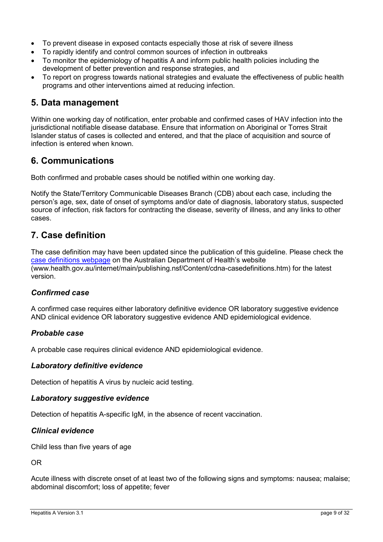- To prevent disease in exposed contacts especially those at risk of severe illness
- To rapidly identify and control common sources of infection in outbreaks
- To monitor the epidemiology of hepatitis A and inform public health policies including the development of better prevention and response strategies, and
- To report on progress towards national strategies and evaluate the effectiveness of public health programs and other interventions aimed at reducing infection.

### <span id="page-8-0"></span>**5. Data management**

Within one working day of notification, enter probable and confirmed cases of HAV infection into the jurisdictional notifiable disease database. Ensure that information on Aboriginal or Torres Strait Islander status of cases is collected and entered, and that the place of acquisition and source of infection is entered when known.

### <span id="page-8-1"></span>**6. Communications**

Both confirmed and probable cases should be notified within one working day.

Notify the State/Territory Communicable Diseases Branch (CDB) about each case, including the person's age, sex, date of onset of symptoms and/or date of diagnosis, laboratory status, suspected source of infection, risk factors for contracting the disease, severity of illness, and any links to other cases.

### <span id="page-8-2"></span>**7. Case definition**

The case definition may have been updated since the publication of this guideline. Please check the [case definitions webpage](http://www.health.gov.au/internet/main/publishing.nsf/Content/cdna-casedefinitions.htm) on the Australian Department of Health's website (www.health.gov.au/internet/main/publishing.nsf/Content/cdna-casedefinitions.htm) for the latest version.

#### <span id="page-8-3"></span>*Confirmed case*

A confirmed case requires either laboratory definitive evidence OR laboratory suggestive evidence AND clinical evidence OR laboratory suggestive evidence AND epidemiological evidence.

#### <span id="page-8-4"></span>*Probable case*

A probable case requires clinical evidence AND epidemiological evidence.

#### <span id="page-8-5"></span>*Laboratory definitive evidence*

Detection of hepatitis A virus by nucleic acid testing.

#### <span id="page-8-6"></span>*Laboratory suggestive evidence*

Detection of hepatitis A-specific IgM, in the absence of recent vaccination.

#### <span id="page-8-7"></span>*Clinical evidence*

Child less than five years of age

OR

Acute illness with discrete onset of at least two of the following signs and symptoms: nausea; malaise; abdominal discomfort; loss of appetite; fever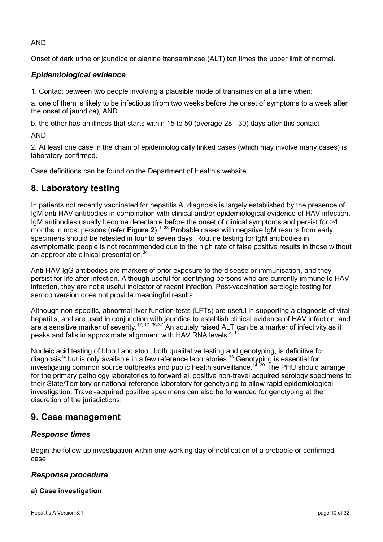AND

Onset of dark urine or jaundice or alanine transaminase (ALT) ten times the upper limit of normal.

### <span id="page-9-0"></span>*Epidemiological evidence*

1. Contact between two people involving a plausible mode of transmission at a time when:

a. one of them is likely to be infectious (from two weeks before the onset of symptoms to a week after the onset of jaundice), AND

b. the other has an illness that starts within 15 to 50 (average 28 - 30) days after this contact

AND

2. At least one case in the chain of epidemiologically linked cases (which may involve many cases) is laboratory confirmed.

Case definitions can be found on the Department of Health's website.

## <span id="page-9-1"></span>**8. Laboratory testing**

In patients not recently vaccinated for hepatitis A, diagnosis is largely established by the presence of IgM anti-HAV antibodies in combination with clinical and/or epidemiological evidence of HAV infection. IgM antibodies usually become detectable before the onset of clinical symptoms and persist for ≥4 months in most persons (refer **[Figure 2](#page-5-4)**).<sup>[1,](#page-21-1) [33](#page-23-9)</sup> Probable cases with negative IgM results from early specimens should be retested in four to seven days. Routine testing for IgM antibodies in asymptomatic people is not recommended due to the high rate of false positive results in those without an appropriate clinical presentation.<sup>[34](#page-23-10)</sup>

Anti-HAV IgG antibodies are markers of prior exposure to the disease or immunisation, and they persist for life after infection. Although useful for identifying persons who are currently immune to HAV infection, they are not a useful indicator of recent infection. Post-vaccination serologic testing for seroconversion does not provide meaningful results.

Although non-specific, abnormal liver function tests (LFTs) are useful in supporting a diagnosis of viral hepatitis, and are used in conjunction with jaundice to establish clinical evidence of HAV infection, and are a sensitive marker of severity.[12,](#page-22-2) [17,](#page-22-7) [35-37](#page-23-11) An acutely raised ALT can be a marker of infectivity as it peaks and falls in approximate alignment with HAV RNA levels.<sup>[8,](#page-21-8) [11](#page-22-1)</sup>

Nucleic acid testing of blood and stool, both qualitative testing and genotyping, is definitive for diagnosis<sup>[14](#page-22-4)</sup> but is only available in a few reference laboratories.<sup>[33](#page-23-9)</sup> Genotyping is essential for investigating common source outbreaks and public health surveillance.<sup>[14,](#page-22-4) [30](#page-23-6)</sup> The PHU should arrange for the primary pathology laboratories to forward all positive non-travel acquired serology specimens to their State/Territory or national reference laboratory for genotyping to allow rapid epidemiological investigation. Travel-acquired positive specimens can also be forwarded for genotyping at the discretion of the jurisdictions.

### <span id="page-9-2"></span>**9. Case management**

#### <span id="page-9-3"></span>*Response times*

Begin the follow-up investigation within one working day of notification of a probable or confirmed case.

#### <span id="page-9-4"></span>*Response procedure*

#### **a) Case investigation**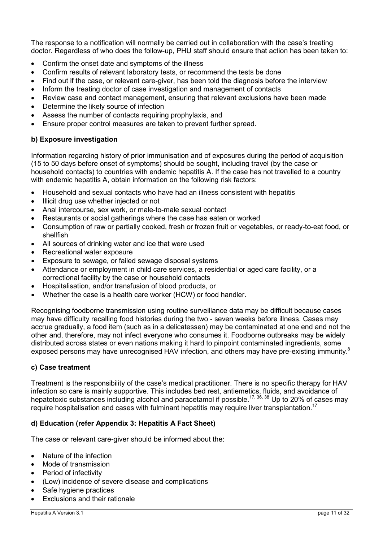The response to a notification will normally be carried out in collaboration with the case's treating doctor. Regardless of who does the follow-up, PHU staff should ensure that action has been taken to:

- Confirm the onset date and symptoms of the illness
- Confirm results of relevant laboratory tests, or recommend the tests be done
- Find out if the case, or relevant care-giver, has been told the diagnosis before the interview
- Inform the treating doctor of case investigation and management of contacts
- Review case and contact management, ensuring that relevant exclusions have been made
- Determine the likely source of infection
- Assess the number of contacts requiring prophylaxis, and
- Ensure proper control measures are taken to prevent further spread.

#### **b) Exposure investigation**

Information regarding history of prior immunisation and of exposures during the period of acquisition (15 to 50 days before onset of symptoms) should be sought, including travel (by the case or household contacts) to countries with endemic hepatitis A. If the case has not travelled to a country with endemic hepatitis A, obtain information on the following risk factors:

- Household and sexual contacts who have had an illness consistent with hepatitis
- Illicit drug use whether injected or not
- Anal intercourse, sex work, or male-to-male sexual contact
- Restaurants or social gatherings where the case has eaten or worked
- Consumption of raw or partially cooked, fresh or frozen fruit or vegetables, or ready-to-eat food, or shellfish
- All sources of drinking water and ice that were used
- Recreational water exposure
- Exposure to sewage, or failed sewage disposal systems
- Attendance or employment in child care services, a residential or aged care facility, or a correctional facility by the case or household contacts
- Hospitalisation, and/or transfusion of blood products, or
- Whether the case is a health care worker (HCW) or food handler.

Recognising foodborne transmission using routine surveillance data may be difficult because cases may have difficulty recalling food histories during the two - seven weeks before illness. Cases may accrue gradually, a food item (such as in a delicatessen) may be contaminated at one end and not the other and, therefore, may not infect everyone who consumes it. Foodborne outbreaks may be widely distributed across states or even nations making it hard to pinpoint contaminated ingredients, some exposed persons may have unrecognised HAV infection, and others may have pre-existing immunity.<sup>8</sup>

#### **c) Case treatment**

Treatment is the responsibility of the case's medical practitioner. There is no specific therapy for HAV infection so care is mainly supportive. This includes bed rest, antiemetics, fluids, and avoidance of hepatotoxic substances including alcohol and paracetamol if possible.<sup>[17,](#page-22-7) [36,](#page-23-12) [38](#page-23-13)</sup> Up to 20% of cases may require hospitalisation and cases with fulminant hepatitis may require liver transplantation.<sup>[17](#page-22-7)</sup>

#### **d) Education (refer [Appendix 3: Hepatitis A Fact Sheet\)](#page-28-0)**

The case or relevant care-giver should be informed about the:

- Nature of the infection
- Mode of transmission
- Period of infectivity
- (Low) incidence of severe disease and complications
- Safe hygiene practices
- Exclusions and their rationale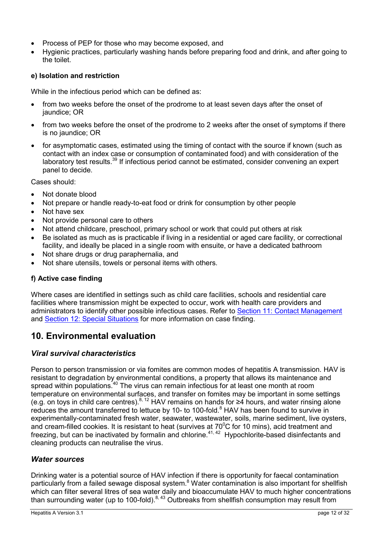- Process of PEP for those who may become exposed, and
- Hygienic practices, particularly washing hands before preparing food and drink, and after going to the toilet.

#### **e) Isolation and restriction**

While in the infectious period which can be defined as:

- from two weeks before the onset of the prodrome to at least seven days after the onset of jaundice; OR
- from two weeks before the onset of the prodrome to 2 weeks after the onset of symptoms if there is no jaundice; OR
- for asymptomatic cases, estimated using the timing of contact with the source if known (such as contact with an index case or consumption of contaminated food) and with consideration of the laboratory test results.<sup>[39](#page-23-14)</sup> If infectious period cannot be estimated, consider convening an expert panel to decide.

Cases should:

- Not donate blood
- Not prepare or handle ready-to-eat food or drink for consumption by other people
- Not have sex
- Not provide personal care to others
- Not attend childcare, preschool, primary school or work that could put others at risk
- Be isolated as much as is practicable if living in a residential or aged care facility, or correctional facility, and ideally be placed in a single room with ensuite, or have a dedicated bathroom
- Not share drugs or drug paraphernalia, and
- Not share utensils, towels or personal items with others.

#### **f) Active case finding**

Where cases are identified in settings such as child care facilities, schools and residential care facilities where transmission might be expected to occur, work with health care providers and administrators to identify other possible infectious cases. Refer to Section [11: Contact Management](#page-12-1) and [Section 12: Special Situations](#page-17-0) for more information on case finding.

### <span id="page-11-0"></span>**10. Environmental evaluation**

#### <span id="page-11-1"></span>*Viral survival characteristics*

Person to person transmission or via fomites are common modes of hepatitis A transmission. HAV is resistant to degradation by environmental conditions, a property that allows its maintenance and spread within populations.<sup>[40](#page-23-15)</sup> The virus can remain infectious for at least one month at room temperature on environmental surfaces, and transfer on fomites may be important in some settings (e.g. on toys in child care centres).[8,](#page-21-8) [12](#page-22-2) HAV remains on hands for ≥4 hours, and water rinsing alone reduces the amount transferred to lettuce by 10- to 100-fold.<sup>[8](#page-21-8)</sup> HAV has been found to survive in experimentally-contaminated fresh water, seawater, wastewater, soils, marine sediment, live oysters, and cream-filled cookies. It is resistant to heat (survives at  $70^{\circ}$ C for 10 mins), acid treatment and freezing, but can be inactivated by formalin and chlorine. $41, 42$  $41, 42$  Hypochlorite-based disinfectants and cleaning products can neutralise the virus.

#### <span id="page-11-2"></span>*Water sources*

Drinking water is a potential source of HAV infection if there is opportunity for faecal contamination particularly from a failed sewage disposal system.<sup>[8](#page-21-8)</sup> Water contamination is also important for shellfish which can filter several litres of sea water daily and bioaccumulate HAV to much higher concentrations than surrounding water (up to 100-fold).<sup>[8,](#page-21-8) [43](#page-24-3)</sup> Outbreaks from shellfish consumption may result from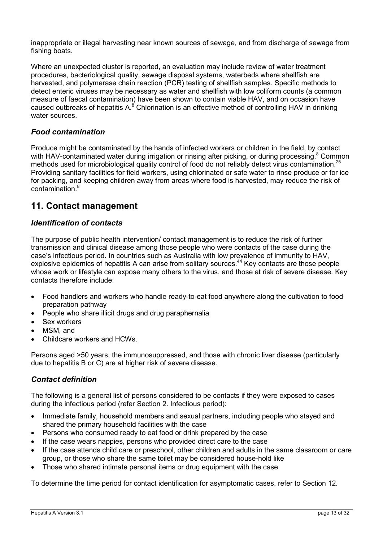inappropriate or illegal harvesting near known sources of sewage, and from discharge of sewage from fishing boats.

Where an unexpected cluster is reported, an evaluation may include review of water treatment procedures, bacteriological quality, sewage disposal systems, waterbeds where shellfish are harvested, and polymerase chain reaction (PCR) testing of shellfish samples. Specific methods to detect enteric viruses may be necessary as water and shellfish with low coliform counts (a common measure of faecal contamination) have been shown to contain viable HAV, and on occasion have caused outbreaks of hepatitis  $A^{8}$  Chlorination is an effective method of controlling HAV in drinking water sources.

#### <span id="page-12-0"></span>*Food contamination*

Produce might be contaminated by the hands of infected workers or children in the field, by contact with HAV-contaminated water during irrigation or rinsing after picking, or during processing[.](#page-21-8)<sup>8</sup> Common methods used for microbiological quality control of food do not reliably detect virus contamination.<sup>[25](#page-23-1)</sup> Providing sanitary facilities for field workers, using chlorinated or safe water to rinse produce or for ice for packing, and keeping children away from areas where food is harvested, may reduce the risk of contamination[.](#page-21-8)<sup>8</sup>

### <span id="page-12-1"></span>**11. Contact management**

#### <span id="page-12-2"></span>*Identification of contacts*

The purpose of public health intervention/ contact management is to reduce the risk of further transmission and clinical disease among those people who were contacts of the case during the case's infectious period. In countries such as Australia with low prevalence of immunity to HAV, explosive epidemics of hepatitis A can arise from solitary sources.<sup>[44](#page-24-4)</sup> Key contacts are those people whose work or lifestyle can expose many others to the virus, and those at risk of severe disease. Key contacts therefore include:

- Food handlers and workers who handle ready-to-eat food anywhere along the cultivation to food preparation pathway
- People who share illicit drugs and drug paraphernalia
- Sex workers
- MSM, and
- Childcare workers and HCWs.

Persons aged >50 years, the immunosuppressed, and those with chronic liver disease (particularly due to hepatitis B or C) are at higher risk of severe disease.

#### <span id="page-12-3"></span>*Contact definition*

The following is a general list of persons considered to be contacts if they were exposed to cases during the infectious period (refer Section 2. Infectious period):

- Immediate family, household members and sexual partners, including people who stayed and shared the primary household facilities with the case
- Persons who consumed ready to eat food or drink prepared by the case
- If the case wears nappies, persons who provided direct care to the case
- If the case attends child care or preschool, other children and adults in the same classroom or care group, or those who share the same toilet may be considered house-hold like
- Those who shared intimate personal items or drug equipment with the case.

To determine the time period for contact identification for asymptomatic cases, refer to Section 12.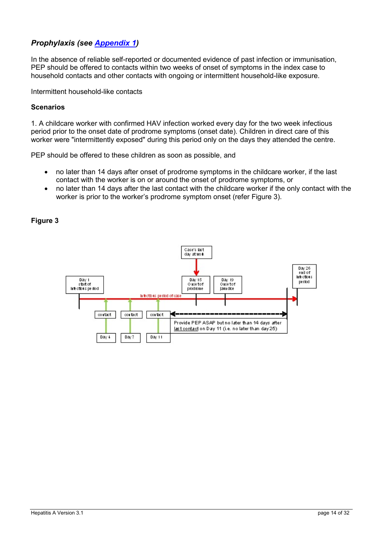#### <span id="page-13-0"></span>*Prophylaxis (see [Appendix 1\)](#page-26-0)*

In the absence of reliable self-reported or documented evidence of past infection or immunisation, PEP should be offered to contacts within two weeks of onset of symptoms in the index case to household contacts and other contacts with ongoing or intermittent household-like exposure.

Intermittent household-like contacts

#### **Scenarios**

1. A childcare worker with confirmed HAV infection worked every day for the two week infectious period prior to the onset date of prodrome symptoms (onset date). Children in direct care of this worker were "intermittently exposed" during this period only on the days they attended the centre.

PEP should be offered to these children as soon as possible, and

- no later than 14 days after onset of prodrome symptoms in the childcare worker, if the last contact with the worker is on or around the onset of prodrome symptoms, or
- no later than 14 days after the last contact with the childcare worker if the only contact with the worker is prior to the worker's prodrome symptom onset (refer Figure 3).

#### **Figure 3**

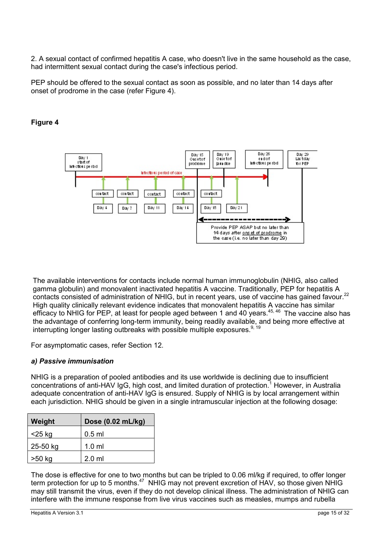2. A sexual contact of confirmed hepatitis A case, who doesn't live in the same household as the case, had intermittent sexual contact during the case's infectious period.

PEP should be offered to the sexual contact as soon as possible, and no later than 14 days after onset of prodrome in the case (refer Figure 4).



#### **Figure 4**

The available interventions for contacts include normal human immunoglobulin (NHIG, also called gamma globulin) and monovalent inactivated hepatitis A vaccine. Traditionally, PEP for hepatitis A contacts consisted of administration of NHIG, but in recent years, use of vaccine has gained favour.<sup>22</sup> High quality clinically relevant evidence indicates that monovalent hepatitis A vaccine has similar efficacy to NHIG for PEP, at least for people aged between 1 and 40 years.<sup>[45,](#page-24-5) [46](#page-24-6)</sup> The vaccine also has the advantage of conferring long-term immunity, being readily available, and being more effective at interrupting longer lasting outbreaks with possible multiple exposures.<sup>[9,](#page-21-9) [19](#page-22-9)</sup>

For asymptomatic cases, refer Section 12.

#### *a) Passive immunisation*

NHIG is a preparation of pooled antibodies and its use worldwide is declining due to insufficient concentrations of anti-HAV IgG, high cost, and limited duration of protection[.](#page-21-1)<sup>1</sup> However, in Australia adequate concentration of anti-HAV IgG is ensured. Supply of NHIG is by local arrangement within each jurisdiction. NHIG should be given in a single intramuscular injection at the following dosage:

| Weight   | Dose (0.02 mL/kg) |  |
|----------|-------------------|--|
| <25 kg   | $0.5$ ml          |  |
| 25-50 kg | $1.0$ ml          |  |
| >50 kg   | $2.0$ ml          |  |

The dose is effective for one to two months but can be tripled to 0.06 ml/kg if required, to offer longer term protection for up to 5 months.<sup>[47](#page-24-7)</sup> NHIG may not prevent excretion of HAV, so those given NHIG may still transmit the virus, even if they do not develop clinical illness. The administration of NHIG can interfere with the immune response from live virus vaccines such as measles, mumps and rubella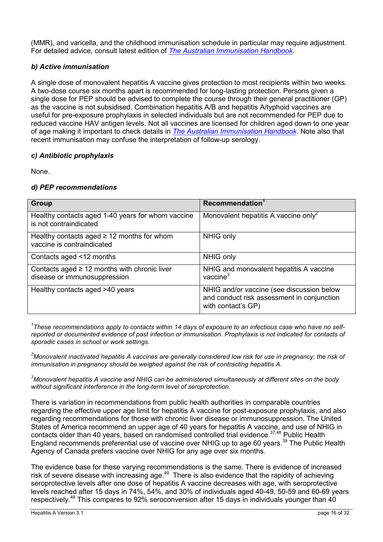(MMR), and varicella, and the childhood immunisation schedule in particular may require adjustment. For detailed advice, consult latest edition of *[The Australian Immunisation Handbook](http://www.immunise.health.gov.au/internet/immunise/publishing.nsf/Content/Handbook10-home%7Ehandbook10part4%7Ehandbook10-4-4)*.

#### *b) Active immunisation*

A single dose of monovalent hepatitis A vaccine gives protection to most recipients within two weeks. A two-dose course six months apart is recommended for long-lasting protection. Persons given a single dose for PEP should be advised to complete the course through their general practitioner (GP) as the vaccine is not subsidised. Combination hepatitis A/B and hepatitis A/typhoid vaccines are useful for pre-exposure prophylaxis in selected individuals but are not recommended for PEP due to reduced vaccine HAV antigen levels. Not all vaccines are licensed for children aged down to one year of age making it important to check details in *[The Australian Immunisation Handbook](http://www.immunise.health.gov.au/internet/immunise/publishing.nsf/Content/Handbook10-home%7Ehandbook10part4%7Ehandbook10-4-4)*. Note also that recent immunisation may confuse the interpretation of follow-up serology.

#### *c) Antibiotic prophylaxis*

None.

#### *d) PEP recommendations*

| Group                                                                             | Recommendation <sup>1</sup>                                                                                   |
|-----------------------------------------------------------------------------------|---------------------------------------------------------------------------------------------------------------|
| Healthy contacts aged 1-40 years for whom vaccine<br>is not contraindicated       | Monovalent hepatitis A vaccine only <sup>2</sup>                                                              |
| Healthy contacts aged $\geq$ 12 months for whom<br>vaccine is contraindicated     | NHIG only                                                                                                     |
| Contacts aged <12 months                                                          | NHIG only                                                                                                     |
| Contacts aged $\geq$ 12 months with chronic liver<br>disease or immunosuppression | NHIG and monovalent hepatitis A vaccine<br>vaccine $3$                                                        |
| Healthy contacts aged >40 years                                                   | NHIG and/or vaccine (see discussion below<br>and conduct risk assessment in conjunction<br>with contact's GP) |

*1 These recommendations apply to contacts within 14 days of exposure to an infectious case who have no selfreported or documented evidence of past infection or immunisation. Prophylaxis is not indicated for contacts of sporadic cases in school or work settings.*

*2 Monovalent inactivated hepatitis A vaccines are generally considered low risk for use in pregnancy; the risk of immunisation in pregnancy should be weighed against the risk of contracting hepatitis A.*

*3 Monovalent hepatitis A vaccine and NHIG can be administered simultaneously at different sites on the body without significant interference in the long-term level of seroprotection.*

There is variation in recommendations from public health authorities in comparable countries regarding the effective upper age limit for hepatitis A vaccine for post-exposure prophylaxis, and also regarding recommendations for those with chronic liver disease or immunosuppression. The United States of America recommend an upper age of 40 years for hepatitis A vaccine, and use of NHIG in contacts older than 40 years, based on randomised controlled trial evidence.[37,](#page-23-16)[48](#page-24-8) Public Health England recommends preferential use of vaccine over NHIG up to age 60 years.<sup>[39](#page-23-14)</sup> The Public Health Agency of Canada prefers vaccine over NHIG for any age over six months.

The evidence base for these varying recommendations is the same. There is evidence of increased risk of severe disease with increasing age.<sup>[49](#page-24-9)</sup> There is also evidence that the rapidity of achieving seroprotective levels after one dose of hepatitis A vaccine decreases with age, with seroprotective levels reached after 15 days in 74%, 54%, and 30% of individuals aged 40-49, 50-59 and 60-69 years respectively.<sup>[48](#page-24-8)</sup> This compares to 92% seroconversion after 15 days in individuals younger than 40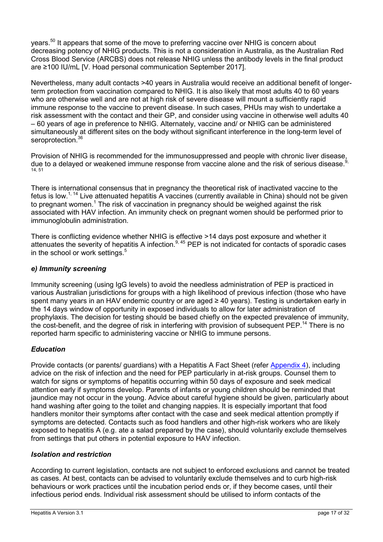years.<sup>[50](#page-24-10)</sup> It appears that some of the move to preferring vaccine over NHIG is concern about decreasing potency of NHIG products. This is not a consideration in Australia, as the Australian Red Cross Blood Service (ARCBS) does not release NHIG unless the antibody levels in the final product are ≥100 IU/mL [V. Hoad personal communication September 2017].

Nevertheless, many adult contacts >40 years in Australia would receive an additional benefit of longerterm protection from vaccination compared to NHIG. It is also likely that most adults 40 to 60 years who are otherwise well and are not at high risk of severe disease will mount a sufficiently rapid immune response to the vaccine to prevent disease. In such cases, PHUs may wish to undertake a risk assessment with the contact and their GP, and consider using vaccine in otherwise well adults 40 – 60 years of age in preference to NHIG. Alternately, vaccine and/ or NHIG can be administered simultaneously at different sites on the body without significant interference in the long-term level of seroprotection.<sup>[36](#page-23-12)</sup>

Provision of NHIG is recommended for the immunosuppressed and people with chronic liver disease, due to a delayed or weakened immune response from vaccine alone and the risk of serious disease.<sup>[9,](#page-21-9)</sup> [14,](#page-22-4) [51](#page-24-11)

There is international consensus that in pregnancy the theoretical risk of inactivated vaccine to the fetus is low.<sup>[1,](#page-21-1) [14](#page-22-4)</sup> Live attenuated hepatitis A vaccines (currently available in China) should not be given to pregnant women[.](#page-21-1)<sup>1</sup> The risk of vaccination in pregnancy should be weighed against the risk associated with HAV infection. An immunity check on pregnant women should be performed prior to immunoglobulin administration.

There is conflicting evidence whether NHIG is effective >14 days post exposure and whether it attenuates the severity of hepatitis A infection.<sup>[9,](#page-21-9) [45](#page-24-5)</sup> PEP is not indicated for contacts of sporadic cases in the school or work settings.<sup>[5](#page-21-5)</sup>

#### *e) Immunity screening*

Immunity screening (using IgG levels) to avoid the needless administration of PEP is practiced in various Australian jurisdictions for groups with a high likelihood of previous infection (those who have spent many years in an HAV endemic country or are aged ≥ 40 years). Testing is undertaken early in the 14 days window of opportunity in exposed individuals to allow for later administration of prophylaxis. The decision for testing should be based chiefly on the expected prevalence of immunity, the cost-benefit, and the degree of risk in interfering with provision of subsequent PEP.<sup>[14](#page-22-4)</sup> There is no reported harm specific to administering vaccine or NHIG to immune persons.

#### *Education*

Provide contacts (or parents/ guardians) with a Hepatitis A Fact Sheet (refer [Appendix 4\)](#page-28-0), including advice on the risk of infection and the need for PEP particularly in at-risk groups. Counsel them to watch for signs or symptoms of hepatitis occurring within 50 days of exposure and seek medical attention early if symptoms develop. Parents of infants or young children should be reminded that jaundice may not occur in the young. Advice about careful hygiene should be given, particularly about hand washing after going to the toilet and changing nappies. It is especially important that food handlers monitor their symptoms after contact with the case and seek medical attention promptly if symptoms are detected. Contacts such as food handlers and other high-risk workers who are likely exposed to hepatitis A (e.g. ate a salad prepared by the case), should voluntarily exclude themselves from settings that put others in potential exposure to HAV infection.

#### *Isolation and restriction*

According to current legislation, contacts are not subject to enforced exclusions and cannot be treated as cases. At best, contacts can be advised to voluntarily exclude themselves and to curb high-risk behaviours or work practices until the incubation period ends or, if they become cases, until their infectious period ends. Individual risk assessment should be utilised to inform contacts of the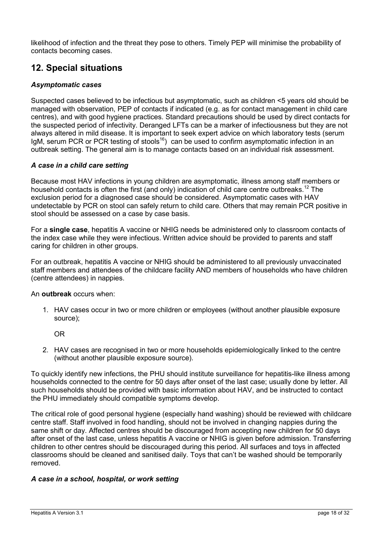likelihood of infection and the threat they pose to others. Timely PEP will minimise the probability of contacts becoming cases.

### <span id="page-17-0"></span>**12. Special situations**

#### *Asymptomatic cases*

Suspected cases believed to be infectious but asymptomatic, such as children <5 years old should be managed with observation, PEP of contacts if indicated (e.g. as for contact management in child care centres), and with good hygiene practices. Standard precautions should be used by direct contacts for the suspected period of infectivity. Deranged LFTs can be a marker of infectiousness but they are not always altered in mild disease. It is important to seek expert advice on which laboratory tests (serum IgM, serum PCR or PCR testing of stools<sup>16</sup>) can be used to confirm asymptomatic infection in an outbreak setting. The general aim is to manage contacts based on an individual risk assessment.

#### *A case in a child care setting*

Because most HAV infections in young children are asymptomatic, illness among staff members or household contacts is often the first (and only) indication of child care centre outbreaks.<sup>12</sup> The exclusion period for a diagnosed case should be considered. Asymptomatic cases with HAV undetectable by PCR on stool can safely return to child care. Others that may remain PCR positive in stool should be assessed on a case by case basis.

For a **single case**, hepatitis A vaccine or NHIG needs be administered only to classroom contacts of the index case while they were infectious. Written advice should be provided to parents and staff caring for children in other groups.

For an outbreak, hepatitis A vaccine or NHIG should be administered to all previously unvaccinated staff members and attendees of the childcare facility AND members of households who have children (centre attendees) in nappies.

#### An **outbreak** occurs when:

1. HAV cases occur in two or more children or employees (without another plausible exposure source);

OR

2. HAV cases are recognised in two or more households epidemiologically linked to the centre (without another plausible exposure source).

To quickly identify new infections, the PHU should institute surveillance for hepatitis-like illness among households connected to the centre for 50 days after onset of the last case; usually done by letter. All such households should be provided with basic information about HAV, and be instructed to contact the PHU immediately should compatible symptoms develop.

The critical role of good personal hygiene (especially hand washing) should be reviewed with childcare centre staff. Staff involved in food handling, should not be involved in changing nappies during the same shift or day. Affected centres should be discouraged from accepting new children for 50 days after onset of the last case, unless hepatitis A vaccine or NHIG is given before admission. Transferring children to other centres should be discouraged during this period. All surfaces and toys in affected classrooms should be cleaned and sanitised daily. Toys that can't be washed should be temporarily removed.

#### *A case in a school, hospital, or work setting*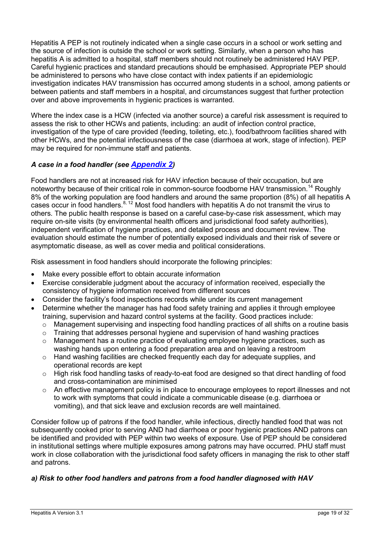Hepatitis A PEP is not routinely indicated when a single case occurs in a school or work setting and the source of infection is outside the school or work setting. Similarly, when a person who has hepatitis A is admitted to a hospital, staff members should not routinely be administered HAV PEP. Careful hygienic practices and standard precautions should be emphasised. Appropriate PEP should be administered to persons who have close contact with index patients if an epidemiologic investigation indicates HAV transmission has occurred among students in a school, among patients or between patients and staff members in a hospital, and circumstances suggest that further protection over and above improvements in hygienic practices is warranted.

Where the index case is a HCW (infected via another source) a careful risk assessment is required to assess the risk to other HCWs and patients, including: an audit of infection control practice, investigation of the type of care provided (feeding, toileting, etc.), food/bathroom facilities shared with other HCWs, and the potential infectiousness of the case (diarrhoea at work, stage of infection). PEP may be required for non-immune staff and patients.

#### *A case in a food handler (see Appendix 2)*

Food handlers are not at increased risk for HAV infection because of their occupation, but are noteworthy because of their critical role in common-source foodborne HAV transmission.<sup>[14](#page-22-4)</sup> Roughly 8% of the working population are food handlers and around the same proportion (8%) of all hepatitis A cases occur in food handlers.<sup>[8,](#page-21-8) [12](#page-22-2)</sup> Most food handlers with hepatitis A do not transmit the virus to others. The public health response is based on a careful case-by-case risk assessment, which may require on-site visits (by environmental health officers and jurisdictional food safety authorities), independent verification of hygiene practices, and detailed process and document review. The evaluation should estimate the number of potentially exposed individuals and their risk of severe or asymptomatic disease, as well as cover media and political considerations.

Risk assessment in food handlers should incorporate the following principles:

- Make every possible effort to obtain accurate information
- Exercise considerable judgment about the accuracy of information received, especially the consistency of hygiene information received from different sources
- Consider the facility's food inspections records while under its current management
- Determine whether the manager has had food safety training and applies it through employee training, supervision and hazard control systems at the facility. Good practices include:
	- o Management supervising and inspecting food handling practices of all shifts on a routine basis
	- $\circ$  Training that addresses personal hygiene and supervision of hand washing practices
	- o Management has a routine practice of evaluating employee hygiene practices, such as washing hands upon entering a food preparation area and on leaving a restroom
	- o Hand washing facilities are checked frequently each day for adequate supplies, and operational records are kept
	- o High risk food handling tasks of ready-to-eat food are designed so that direct handling of food and cross-contamination are minimised
	- o An effective management policy is in place to encourage employees to report illnesses and not to work with symptoms that could indicate a communicable disease (e.g. diarrhoea or vomiting), and that sick leave and exclusion records are well maintained.

Consider follow up of patrons if the food handler, while infectious, directly handled food that was not subsequently cooked prior to serving AND had diarrhoea or poor hygienic practices AND patrons can be identified and provided with PEP within two weeks of exposure. Use of PEP should be considered in institutional settings where multiple exposures among patrons may have occurred. PHU staff must work in close collaboration with the jurisdictional food safety officers in managing the risk to other staff and patrons.

#### *a) Risk to other food handlers and patrons from a food handler diagnosed with HAV*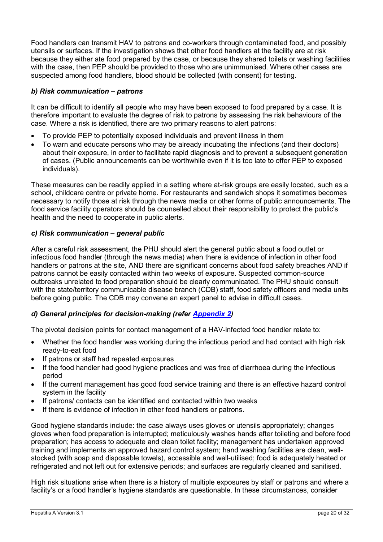Food handlers can transmit HAV to patrons and co-workers through contaminated food, and possibly utensils or surfaces. If the investigation shows that other food handlers at the facility are at risk because they either ate food prepared by the case, or because they shared toilets or washing facilities with the case, then PEP should be provided to those who are unimmunised. Where other cases are suspected among food handlers, blood should be collected (with consent) for testing.

#### *b) Risk communication – patrons*

It can be difficult to identify all people who may have been exposed to food prepared by a case. It is therefore important to evaluate the degree of risk to patrons by assessing the risk behaviours of the case. Where a risk is identified, there are two primary reasons to alert patrons:

- To provide PEP to potentially exposed individuals and prevent illness in them
- To warn and educate persons who may be already incubating the infections (and their doctors) about their exposure, in order to facilitate rapid diagnosis and to prevent a subsequent generation of cases. (Public announcements can be worthwhile even if it is too late to offer PEP to exposed individuals).

These measures can be readily applied in a setting where at-risk groups are easily located, such as a school, childcare centre or private home. For restaurants and sandwich shops it sometimes becomes necessary to notify those at risk through the news media or other forms of public announcements. The food service facility operators should be counselled about their responsibility to protect the public's health and the need to cooperate in public alerts.

#### *c) Risk communication – general public*

After a careful risk assessment, the PHU should alert the general public about a food outlet or infectious food handler (through the news media) when there is evidence of infection in other food handlers or patrons at the site, AND there are significant concerns about food safety breaches AND if patrons cannot be easily contacted within two weeks of exposure. Suspected common-source outbreaks unrelated to food preparation should be clearly communicated. The PHU should consult with the state/territory communicable disease branch (CDB) staff, food safety officers and media units before going public. The CDB may convene an expert panel to advise in difficult cases.

#### *d) General principles for decision-making (refer [Appendix 2\)](#page-27-0)*

The pivotal decision points for contact management of a HAV-infected food handler relate to:

- Whether the food handler was working during the infectious period and had contact with high risk ready-to-eat food
- If patrons or staff had repeated exposures
- If the food handler had good hygiene practices and was free of diarrhoea during the infectious period
- If the current management has good food service training and there is an effective hazard control system in the facility
- If patrons/ contacts can be identified and contacted within two weeks
- If there is evidence of infection in other food handlers or patrons.

Good hygiene standards include: the case always uses gloves or utensils appropriately; changes gloves when food preparation is interrupted; meticulously washes hands after toileting and before food preparation; has access to adequate and clean toilet facility; management has undertaken approved training and implements an approved hazard control system; hand washing facilities are clean, wellstocked (with soap and disposable towels), accessible and well-utilised; food is adequately heated or refrigerated and not left out for extensive periods; and surfaces are regularly cleaned and sanitised.

High risk situations arise when there is a history of multiple exposures by staff or patrons and where a facility's or a food handler's hygiene standards are questionable. In these circumstances, consider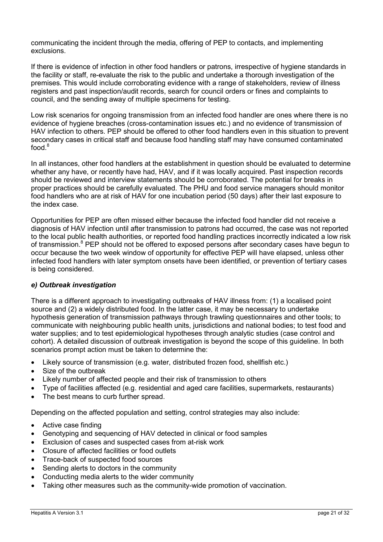communicating the incident through the media, offering of PEP to contacts, and implementing exclusions.

If there is evidence of infection in other food handlers or patrons, irrespective of hygiene standards in the facility or staff, re-evaluate the risk to the public and undertake a thorough investigation of the premises. This would include corroborating evidence with a range of stakeholders, review of illness registers and past inspection/audit records, search for council orders or fines and complaints to council, and the sending away of multiple specimens for testing.

Low risk scenarios for ongoing transmission from an infected food handler are ones where there is no evidence of hygiene breaches (cross-contamination issues etc.) and no evidence of transmission of HAV infection to others. PEP should be offered to other food handlers even in this situation to prevent secondary cases in critical staff and because food handling staff may have consumed contaminated food[.](#page-21-8) 8

In all instances, other food handlers at the establishment in question should be evaluated to determine whether any have, or recently have had, HAV, and if it was locally acquired. Past inspection records should be reviewed and interview statements should be corroborated. The potential for breaks in proper practices should be carefully evaluated. The PHU and food service managers should monitor food handlers who are at risk of HAV for one incubation period (50 days) after their last exposure to the index case.

Opportunities for PEP are often missed either because the infected food handler did not receive a diagnosis of HAV infection until after transmission to patrons had occurred, the case was not reported to the local public health authorities, or reported food handling practices incorrectly indicated a low risk of transmission.<sup>[8](#page-21-8)</sup> PEP should not be offered to exposed persons after secondary cases have begun to occur because the two week window of opportunity for effective PEP will have elapsed, unless other infected food handlers with later symptom onsets have been identified, or prevention of tertiary cases is being considered.

#### *e) Outbreak investigation*

There is a different approach to investigating outbreaks of HAV illness from: (1) a localised point source and (2) a widely distributed food. In the latter case, it may be necessary to undertake hypothesis generation of transmission pathways through trawling questionnaires and other tools; to communicate with neighbouring public health units, jurisdictions and national bodies; to test food and water supplies; and to test epidemiological hypotheses through analytic studies (case control and cohort). A detailed discussion of outbreak investigation is beyond the scope of this guideline. In both scenarios prompt action must be taken to determine the:

- Likely source of transmission (e.g. water, distributed frozen food, shellfish etc.)
- Size of the outbreak
- Likely number of affected people and their risk of transmission to others
- Type of facilities affected (e.g. residential and aged care facilities, supermarkets, restaurants)
- The best means to curb further spread.

Depending on the affected population and setting, control strategies may also include:

- Active case finding
- Genotyping and sequencing of HAV detected in clinical or food samples
- Exclusion of cases and suspected cases from at-risk work
- Closure of affected facilities or food outlets
- Trace-back of suspected food sources
- Sending alerts to doctors in the community
- Conducting media alerts to the wider community
- Taking other measures such as the community-wide promotion of vaccination.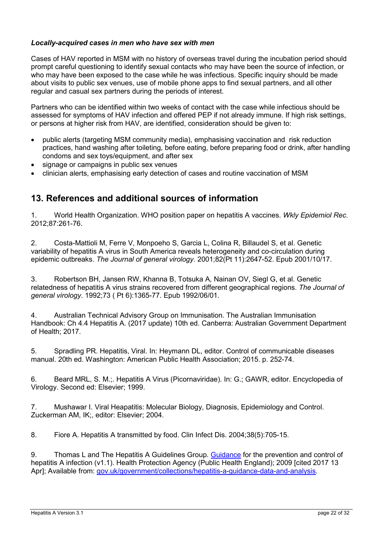#### *Locally-acquired cases in men who have sex with men*

Cases of HAV reported in MSM with no history of overseas travel during the incubation period should prompt careful questioning to identify sexual contacts who may have been the source of infection, or who may have been exposed to the case while he was infectious. Specific inquiry should be made about visits to public sex venues, use of mobile phone apps to find sexual partners, and all other regular and casual sex partners during the periods of interest.

Partners who can be identified within two weeks of contact with the case while infectious should be assessed for symptoms of HAV infection and offered PEP if not already immune. If high risk settings, or persons at higher risk from HAV, are identified, consideration should be given to:

- public alerts (targeting MSM community media), emphasising vaccination and risk reduction practices, hand washing after toileting, before eating, before preparing food or drink, after handling condoms and sex toys/equipment, and after sex
- signage or campaigns in public sex venues
- clinician alerts, emphasising early detection of cases and routine vaccination of MSM

### <span id="page-21-0"></span>**13. References and additional sources of information**

<span id="page-21-1"></span>1. World Health Organization. WHO position paper on hepatitis A vaccines. *Wkly Epidemiol Rec*. 2012;87:261-76.

<span id="page-21-2"></span>2. Costa-Mattioli M, Ferre V, Monpoeho S, Garcia L, Colina R, Billaudel S, et al. Genetic variability of hepatitis A virus in South America reveals heterogeneity and co-circulation during epidemic outbreaks. *The Journal of general virology*. 2001;82(Pt 11):2647-52. Epub 2001/10/17.

<span id="page-21-10"></span><span id="page-21-3"></span>3. Robertson BH, Jansen RW, Khanna B, Totsuka A, Nainan OV, Siegl G, et al. Genetic relatedness of hepatitis A virus strains recovered from different geographical regions. *The Journal of general virology*. 1992;73 ( Pt 6):1365-77. Epub 1992/06/01.

<span id="page-21-4"></span>4. Australian Technical Advisory Group on Immunisation. The Australian Immunisation Handbook: Ch 4.4 Hepatitis A. (2017 update) 10th ed. Canberra: Australian Government Department of Health; 2017.

<span id="page-21-5"></span>5. Spradling PR. Hepatitis, Viral. In: Heymann DL, editor. Control of communicable diseases manual. 20th ed. Washington: American Public Health Association; 2015. p. 252-74.

<span id="page-21-6"></span>6. Beard MRL, S. M.;. Hepatitis A Virus (Picornaviridae). In: G.; GAWR, editor. Encyclopedia of Virology. Second ed: Elsevier; 1999.

<span id="page-21-7"></span>7. Mushawar I. Viral Heapatitis: Molecular Biology, Diagnosis, Epidemiology and Control. Zuckerman AM, IK;, editor: Elsevier; 2004.

<span id="page-21-8"></span>8. Fiore A. Hepatitis A transmitted by food. Clin Infect Dis. 2004;38(5):705-15.

<span id="page-21-9"></span>9. Thomas L and The Hepatitis A Guidelines Group. [Guidance](https://www.gov.uk/government/collections/hepatitis-a-guidance-data-and-analysis) for the prevention and control of hepatitis A infection (v1.1). Health Protection Agency (Public Health England): 2009 [cited 2017 13 Apr]; Available from: [gov.uk/government/collections/hepatitis-a-guidance-data-and-analysis.](http://www.gov.uk/government/collections/hepatitis-a-guidance-data-and-analysis)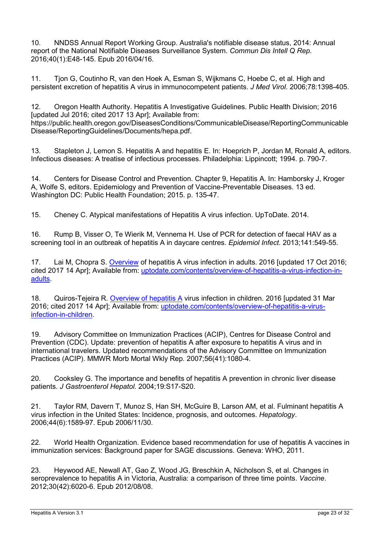<span id="page-22-0"></span>10. NNDSS Annual Report Working Group. Australia's notifiable disease status, 2014: Annual report of the National Notifiable Diseases Surveillance System. *Commun Dis Intell Q Rep*. 2016;40(1):E48-145. Epub 2016/04/16.

<span id="page-22-1"></span>11. Tjon G, Coutinho R, van den Hoek A, Esman S, Wijkmans C, Hoebe C, et al. High and persistent excretion of hepatitis A virus in immunocompetent patients. *J Med Virol*. 2006;78:1398-405.

<span id="page-22-2"></span>12. Oregon Health Authority. Hepatitis A Investigative Guidelines. Public Health Division; 2016 [updated Jul 2016; cited 2017 13 Apr]; Available from: https://public.health.oregon.gov/DiseasesConditions/CommunicableDisease/ReportingCommunicable Disease/ReportingGuidelines/Documents/hepa.pdf.

<span id="page-22-3"></span>13. Stapleton J, Lemon S. Hepatitis A and hepatitis E. In: Hoeprich P, Jordan M, Ronald A, editors. Infectious diseases: A treatise of infectious processes. Philadelphia: Lippincott; 1994. p. 790-7.

<span id="page-22-4"></span>14. Centers for Disease Control and Prevention. Chapter 9, Hepatitis A. In: Hamborsky J, Kroger A, Wolfe S, editors. Epidemiology and Prevention of Vaccine-Preventable Diseases. 13 ed. Washington DC: Public Health Foundation; 2015. p. 135-47.

<span id="page-22-5"></span>15. Cheney C. Atypical manifestations of Hepatitis A virus infection. UpToDate. 2014.

<span id="page-22-6"></span>16. Rump B, Visser O, Te Wierik M, Vennema H. Use of PCR for detection of faecal HAV as a screening tool in an outbreak of hepatitis A in daycare centres. *Epidemiol Infect*. 2013;141:549-55.

<span id="page-22-7"></span>17. Lai M, Chopra S. [Overview](http://www.uptodate.com/contents/overview-of-hepatitis-a-virus-infection-in-adults) of hepatitis A virus infection in adults. 2016 [updated 17 Oct 2016; cited 2017 14 Apr]; Available from: [uptodate.com/contents/overview-of-hepatitis-a-virus-infection-in](http://www.uptodate.com/contents/overview-of-hepatitis-a-virus-infection-in-adults)[adults.](http://www.uptodate.com/contents/overview-of-hepatitis-a-virus-infection-in-adults)

<span id="page-22-8"></span>18. Quiros-Tejeira R. [Overview of hepatitis A](https://www.uptodate.com/contents/overview-of-hepatitis-a-virus-infection-in-children) virus infection in children. 2016 [updated 31 Mar 2016; cited 2017 14 Apr]; Available from: [uptodate.com/contents/overview-of-hepatitis-a-virus](http://www.uptodate.com/contents/overview-of-hepatitis-a-virus-infection-in-children)[infection-in-children.](http://www.uptodate.com/contents/overview-of-hepatitis-a-virus-infection-in-children)

<span id="page-22-9"></span>19. Advisory Committee on Immunization Practices (ACIP), Centres for Disease Control and Prevention (CDC). Update: prevention of hepatitis A after exposure to hepatitis A virus and in international travelers. Updated recommendations of the Advisory Committee on Immunization Practices (ACIP). MMWR Morb Mortal Wkly Rep. 2007;56(41):1080-4.

<span id="page-22-10"></span>20. Cooksley G. The importance and benefits of hepatitis A prevention in chronic liver disease patients. *J Gastroenterol Hepatol.* 2004;19:S17-S20.

<span id="page-22-11"></span>21. Taylor RM, Davern T, Munoz S, Han SH, McGuire B, Larson AM, et al. Fulminant hepatitis A virus infection in the United States: Incidence, prognosis, and outcomes. *Hepatology*. 2006;44(6):1589-97. Epub 2006/11/30.

<span id="page-22-12"></span>22. World Health Organization. Evidence based recommendation for use of hepatitis A vaccines in immunization services: Background paper for SAGE discussions. Geneva: WHO, 2011.

<span id="page-22-13"></span>23. Heywood AE, Newall AT, Gao Z, Wood JG, Breschkin A, Nicholson S, et al. Changes in seroprevalence to hepatitis A in Victoria, Australia: a comparison of three time points. *Vaccine*. 2012;30(42):6020-6. Epub 2012/08/08.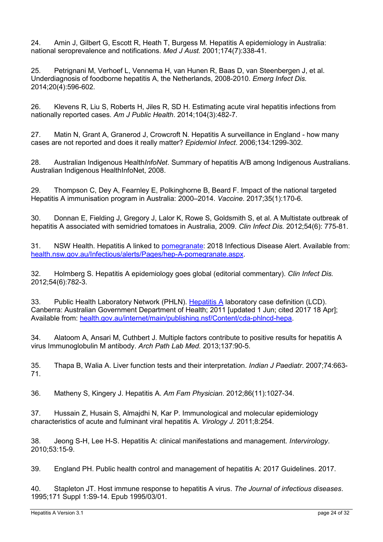<span id="page-23-0"></span>24. Amin J, Gilbert G, Escott R, Heath T, Burgess M. Hepatitis A epidemiology in Australia: national seroprevalence and notifications. *Med J Aust.* 2001;174(7):338-41.

<span id="page-23-1"></span>25. Petrignani M, Verhoef L, Vennema H, van Hunen R, Baas D, van Steenbergen J, et al. Underdiagnosis of foodborne hepatitis A, the Netherlands, 2008-2010. *Emerg Infect Dis.* 2014;20(4):596-602.

<span id="page-23-2"></span>26. Klevens R, Liu S, Roberts H, Jiles R, SD H. Estimating acute viral hepatitis infections from nationally reported cases. *Am J Public Health*. 2014;104(3):482-7.

<span id="page-23-3"></span>27. Matin N, Grant A, Granerod J, Crowcroft N. Hepatitis A surveillance in England - how many cases are not reported and does it really matter? *Epidemiol Infect*. 2006;134:1299-302.

<span id="page-23-4"></span>28. Australian Indigenous Health*InfoNet*. Summary of hepatitis A/B among Indigenous Australians. Australian Indigenous HealthInfoNet, 2008.

<span id="page-23-5"></span>29. Thompson C, Dey A, Fearnley E, Polkinghorne B, Beard F. Impact of the national targeted Hepatitis A immunisation program in Australia: 2000–2014. *Vaccine*. 2017;35(1):170-6.

<span id="page-23-6"></span>30. Donnan E, Fielding J, Gregory J, Lalor K, Rowe S, Goldsmith S, et al. A Multistate outbreak of hepatitis A associated with semidried tomatoes in Australia, 2009. *Clin Infect Dis.* 2012;54(6): 775-81.

<span id="page-23-7"></span>31. NSW Health. Hepatitis A linked to [pomegranate:](https://www.health.nsw.gov.au/Infectious/alerts/Pages/hep-A-pomegranate.aspx) 2018 Infectious Disease Alert. Available from: [health.nsw.gov.au/Infectious/alerts/Pages/hep-A-pomegranate.aspx.](http://www.health.nsw.gov.au/Infectious/alerts/Pages/hep-A-pomegranate.aspx)

<span id="page-23-8"></span>32. Holmberg S. Hepatitis A epidemiology goes global (editorial commentary). *Clin Infect Dis.*  2012;54(6):782-3.

<span id="page-23-9"></span>33. Public Health Laboratory Network (PHLN). [Hepatitis A](http://www.health.gov.au/internet/main/publishing.nsf/Content/cda-phlncd-hepa) laboratory case definition (LCD). Canberra: Australian Government Department of Health; 2011 [updated 1 Jun; cited 2017 18 Apr]; Available from: [health.gov.au/internet/main/publishing.nsf/Content/cda-phlncd-hepa.](http://www.health.gov.au/internet/main/publishing.nsf/Content/cda-phlncd-hepa)

<span id="page-23-10"></span>34. Alatoom A, Ansari M, Cuthbert J. Multiple factors contribute to positive results for hepatitis A virus Immunoglobulin M antibody. *Arch Path Lab Med.* 2013;137:90-5.

<span id="page-23-11"></span>35. Thapa B, Walia A. Liver function tests and their interpretation. *Indian J Paediatr*. 2007;74:663- 71.

<span id="page-23-12"></span>36. Matheny S, Kingery J. Hepatitis A. *Am Fam Physician*. 2012;86(11):1027-34.

<span id="page-23-16"></span>37. Hussain Z, Husain S, Almajdhi N, Kar P. Immunological and molecular epidemiology characteristics of acute and fulminant viral hepatitis A. *Virology J.* 2011;8:254.

<span id="page-23-13"></span>38. Jeong S-H, Lee H-S. Hepatitis A: clinical manifestations and management. *Intervirology*. 2010;53:15-9.

<span id="page-23-14"></span>39. England PH. Public health control and management of hepatitis A: 2017 Guidelines. 2017.

<span id="page-23-15"></span>40. Stapleton JT. Host immune response to hepatitis A virus. *The Journal of infectious diseases*. 1995;171 Suppl 1:S9-14. Epub 1995/03/01.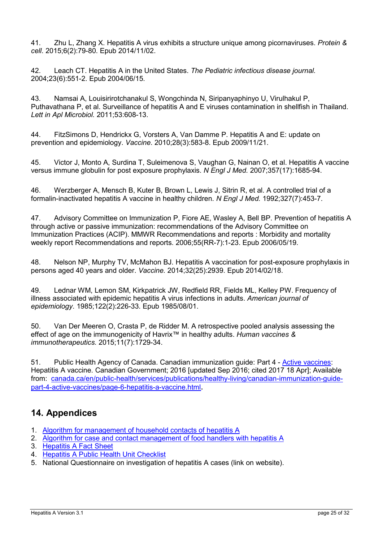<span id="page-24-1"></span>41. Zhu L, Zhang X. Hepatitis A virus exhibits a structure unique among picornaviruses. *Protein & cell*. 2015;6(2):79-80. Epub 2014/11/02.

<span id="page-24-2"></span>42. Leach CT. Hepatitis A in the United States. *The Pediatric infectious disease journal.* 2004;23(6):551-2. Epub 2004/06/15.

<span id="page-24-3"></span>43. Namsai A, Louisirirotchanakul S, Wongchinda N, Siripanyaphinyo U, Virulhakul P, Puthavathana P, et al. Surveillance of hepatitis A and E viruses contamination in shellfish in Thailand. *Lett in Apl Microbiol.* 2011;53:608-13.

<span id="page-24-4"></span>44. FitzSimons D, Hendrickx G, Vorsters A, Van Damme P. Hepatitis A and E: update on prevention and epidemiology. *Vaccine*. 2010;28(3):583-8. Epub 2009/11/21.

<span id="page-24-5"></span>45. Victor J, Monto A, Surdina T, Suleimenova S, Vaughan G, Nainan O, et al. Hepatitis A vaccine versus immune globulin for post exposure prophylaxis. *N Engl J Med.* 2007;357(17):1685-94.

<span id="page-24-6"></span>46. Werzberger A, Mensch B, Kuter B, Brown L, Lewis J, Sitrin R, et al. A controlled trial of a formalin-inactivated hepatitis A vaccine in healthy children. *N Engl J Med.* 1992;327(7):453-7.

<span id="page-24-7"></span>47. Advisory Committee on Immunization P, Fiore AE, Wasley A, Bell BP. Prevention of hepatitis A through active or passive immunization: recommendations of the Advisory Committee on Immunization Practices (ACIP). MMWR Recommendations and reports : Morbidity and mortality weekly report Recommendations and reports. 2006;55(RR-7):1-23. Epub 2006/05/19.

<span id="page-24-8"></span>48. Nelson NP, Murphy TV, McMahon BJ. Hepatitis A vaccination for post-exposure prophylaxis in persons aged 40 years and older. *Vaccine.* 2014;32(25):2939. Epub 2014/02/18.

<span id="page-24-9"></span>49. Lednar WM, Lemon SM, Kirkpatrick JW, Redfield RR, Fields ML, Kelley PW. Frequency of illness associated with epidemic hepatitis A virus infections in adults. *American journal of epidemiology*. 1985;122(2):226-33. Epub 1985/08/01.

<span id="page-24-10"></span>50. Van Der Meeren O, Crasta P, de Ridder M. A retrospective pooled analysis assessing the effect of age on the immunogenicity of Havrix™ in healthy adults. *Human vaccines & immunotherapeutics.* 2015;11(7):1729-34.

<span id="page-24-11"></span>51. Public Health Agency of Canada. Canadian immunization guide: Part 4 - [Active vaccines:](https://www.canada.ca/en/public-health/services/publications/healthy-living/canadian-immunization-guide-part-4-active-vaccines/page-6-hepatitis-a-vaccine.html) Hepatitis A vaccine. Canadian Government; 2016 [updated Sep 2016; cited 2017 18 Apr]; Available from: [canada.ca/en/public-health/services/publications/healthy-living/canadian-immunization-guide](http://www.canada.ca/en/public-health/services/publications/healthy-living/canadian-immunization-guide-part-4-active-vaccines/page-6-hepatitis-a-vaccine.html)[part-4-active-vaccines/page-6-hepatitis-a-vaccine.html](http://www.canada.ca/en/public-health/services/publications/healthy-living/canadian-immunization-guide-part-4-active-vaccines/page-6-hepatitis-a-vaccine.html).

## <span id="page-24-0"></span>**14. Appendices**

- 1. [Algorithm for management of household contacts of hepatitis A](#page-26-0)
- 2. [Algorithm for case and contact management of food handlers with hepatitis A](#page-27-0)
- 3. [Hepatitis A Fact Sheet](#page-28-0)
- 4. [Hepatitis A Public Health Unit Checklist](#page-31-0)
- 5. National Questionnaire on investigation of hepatitis A cases (link on website).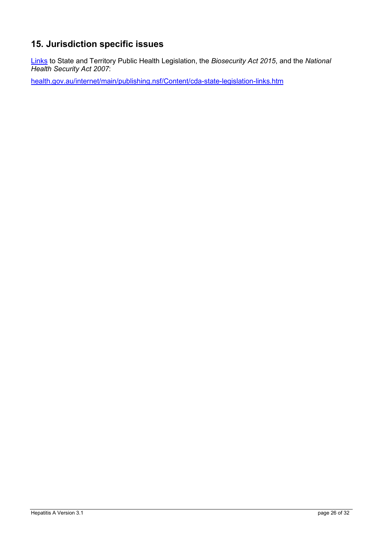## <span id="page-25-0"></span>**15. Jurisdiction specific issues**

[Links](http://www.health.gov.au/internet/main/publishing.nsf/Content/cda-state-legislation-links.htm) to State and Territory Public Health Legislation, the *Biosecurity Act 2015*, and the *National Health Security Act 2007*:

[health.gov.au/internet/main/publishing.nsf/Content/cda-state-legislation-links.htm](http://www.health.gov.au/internet/main/publishing.nsf/Content/cda-state-legislation-links.htm)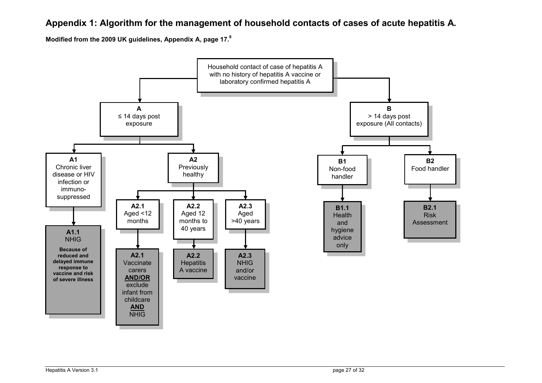### **Appendix 1: Algorithm for the management of household contacts of cases of acute hepatitis A.**

**Modified from the 2009 UK guidelines, Appendix A, page 17.[9](#page-21-10)**

<span id="page-26-0"></span>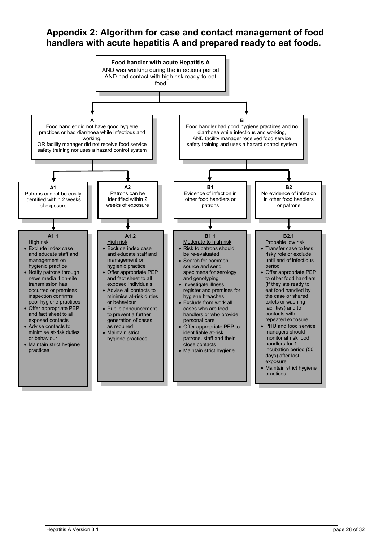## <span id="page-27-0"></span>**Appendix 2: Algorithm for case and contact management of food handlers with acute hepatitis A and prepared ready to eat foods.**

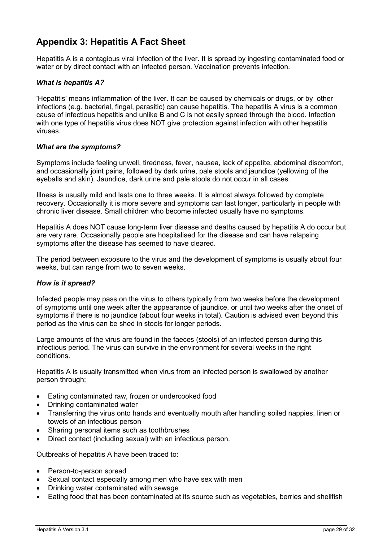## <span id="page-28-0"></span>**Appendix 3: Hepatitis A Fact Sheet**

Hepatitis A is a contagious viral infection of the liver. It is spread by ingesting contaminated food or water or by direct contact with an infected person. Vaccination prevents infection.

#### *What is hepatitis A?*

'Hepatitis' means inflammation of the liver. It can be caused by chemicals or drugs, or by other infections (e.g. bacterial, fingal, parasitic) can cause hepatitis. The hepatitis A virus is a common cause of infectious hepatitis and unlike B and C is not easily spread through the blood. Infection with one type of hepatitis virus does NOT give protection against infection with other hepatitis viruses.

#### *What are the symptoms?*

Symptoms include feeling unwell, tiredness, fever, nausea, lack of appetite, abdominal discomfort, and occasionally joint pains, followed by dark urine, pale stools and jaundice (yellowing of the eyeballs and skin). Jaundice, dark urine and pale stools do not occur in all cases.

Illness is usually mild and lasts one to three weeks. It is almost always followed by complete recovery. Occasionally it is more severe and symptoms can last longer, particularly in people with chronic liver disease. Small children who become infected usually have no symptoms.

Hepatitis A does NOT cause long-term liver disease and deaths caused by hepatitis A do occur but are very rare. Occasionally people are hospitalised for the disease and can have relapsing symptoms after the disease has seemed to have cleared.

The period between exposure to the virus and the development of symptoms is usually about four weeks, but can range from two to seven weeks.

#### *How is it spread?*

Infected people may pass on the virus to others typically from two weeks before the development of symptoms until one week after the appearance of jaundice, or until two weeks after the onset of symptoms if there is no jaundice (about four weeks in total). Caution is advised even beyond this period as the virus can be shed in stools for longer periods.

Large amounts of the virus are found in the faeces (stools) of an infected person during this infectious period. The virus can survive in the environment for several weeks in the right conditions.

Hepatitis A is usually transmitted when virus from an infected person is swallowed by another person through:

- Eating contaminated raw, frozen or undercooked food
- Drinking contaminated water
- Transferring the virus onto hands and eventually mouth after handling soiled nappies, linen or towels of an infectious person
- Sharing personal items such as toothbrushes
- Direct contact (including sexual) with an infectious person.

Outbreaks of hepatitis A have been traced to:

- Person-to-person spread
- Sexual contact especially among men who have sex with men
- Drinking water contaminated with sewage
- Eating food that has been contaminated at its source such as vegetables, berries and shellfish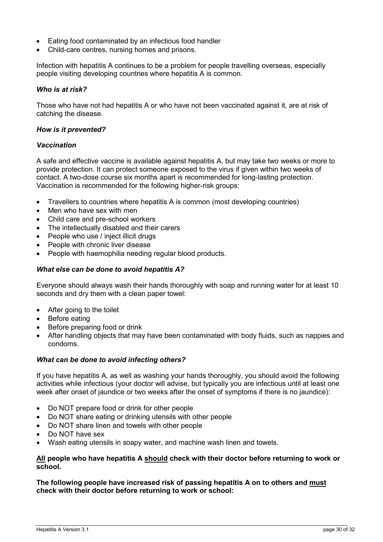- Eating food contaminated by an infectious food handler
- Child-care centres, nursing homes and prisons.

Infection with hepatitis A continues to be a problem for people travelling overseas, especially people visiting developing countries where hepatitis A is common.

#### *Who is at risk?*

Those who have not had hepatitis A or who have not been vaccinated against it, are at risk of catching the disease.

#### *How is it prevented?*

#### *Vaccination*

A safe and effective vaccine is available against hepatitis A, but may take two weeks or more to provide protection. It can protect someone exposed to the virus if given within two weeks of contact. A two-dose course six months apart is recommended for long-lasting protection. Vaccination is recommended for the following higher-risk groups:

- Travellers to countries where hepatitis A is common (most developing countries)
- Men who have sex with men
- Child care and pre-school workers
- The intellectually disabled and their carers
- People who use / inject illicit drugs
- People with chronic liver disease
- People with haemophilia needing regular blood products.

#### *What else can be done to avoid hepatitis A?*

Everyone should always wash their hands thoroughly with soap and running water for at least 10 seconds and dry them with a clean paper towel:

- After going to the toilet
- Before eating
- Before preparing food or drink
- After handling objects that may have been contaminated with body fluids, such as nappies and condoms.

#### *What can be done to avoid infecting others?*

If you have hepatitis A, as well as washing your hands thoroughly, you should avoid the following activities while infectious (your doctor will advise, but typically you are infectious until at least one week after onset of jaundice or two weeks after the onset of symptoms if there is no jaundice):

- Do NOT prepare food or drink for other people
- Do NOT share eating or drinking utensils with other people
- Do NOT share linen and towels with other people
- Do NOT have sex
- Wash eating utensils in soapy water, and machine wash linen and towels.

#### **All people who have hepatitis A should check with their doctor before returning to work or school.**

**The following people have increased risk of passing hepatitis A on to others and must check with their doctor before returning to work or school:**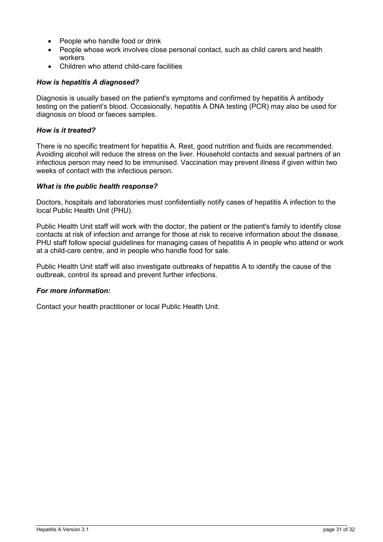- People who handle food or drink
- People whose work involves close personal contact, such as child carers and health workers
- Children who attend child-care facilities

#### *How is hepatitis A diagnosed?*

Diagnosis is usually based on the patient's symptoms and confirmed by hepatitis A antibody testing on the patient's blood. Occasionally, hepatitis A DNA testing (PCR) may also be used for diagnosis on blood or faeces samples.

#### *How is it treated?*

There is no specific treatment for hepatitis A. Rest, good nutrition and fluids are recommended. Avoiding alcohol will reduce the stress on the liver. Household contacts and sexual partners of an infectious person may need to be immunised. Vaccination may prevent illness if given within two weeks of contact with the infectious person.

#### *What is the public health response?*

Doctors, hospitals and laboratories must confidentially notify cases of hepatitis A infection to the local Public Health Unit (PHU).

Public Health Unit staff will work with the doctor, the patient or the patient's family to identify close contacts at risk of infection and arrange for those at risk to receive information about the disease. PHU staff follow special guidelines for managing cases of hepatitis A in people who attend or work at a child-care centre, and in people who handle food for sale.

Public Health Unit staff will also investigate outbreaks of hepatitis A to identify the cause of the outbreak, control its spread and prevent further infections.

#### *For more information:*

Contact your health practitioner or local Public Health Unit.